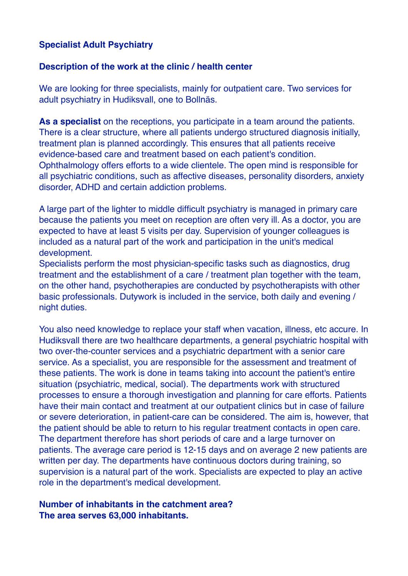## **Specialist Adult Psychiatry**

#### **Description of the work at the clinic / health center**

We are looking for three specialists, mainly for outpatient care. Two services for adult psychiatry in Hudiksvall, one to Bollnäs.

**As a specialist** on the receptions, you participate in a team around the patients. There is a clear structure, where all patients undergo structured diagnosis initially, treatment plan is planned accordingly. This ensures that all patients receive evidence-based care and treatment based on each patient's condition. Ophthalmology offers efforts to a wide clientele. The open mind is responsible for all psychiatric conditions, such as affective diseases, personality disorders, anxiety disorder, ADHD and certain addiction problems.

A large part of the lighter to middle difficult psychiatry is managed in primary care because the patients you meet on reception are often very ill. As a doctor, you are expected to have at least 5 visits per day. Supervision of younger colleagues is included as a natural part of the work and participation in the unit's medical development.

Specialists perform the most physician-specific tasks such as diagnostics, drug treatment and the establishment of a care / treatment plan together with the team, on the other hand, psychotherapies are conducted by psychotherapists with other basic professionals. Dutywork is included in the service, both daily and evening / night duties.

You also need knowledge to replace your staff when vacation, illness, etc accure. In Hudiksvall there are two healthcare departments, a general psychiatric hospital with two over-the-counter services and a psychiatric department with a senior care service. As a specialist, you are responsible for the assessment and treatment of these patients. The work is done in teams taking into account the patient's entire situation (psychiatric, medical, social). The departments work with structured processes to ensure a thorough investigation and planning for care efforts. Patients have their main contact and treatment at our outpatient clinics but in case of failure or severe deterioration, in patient-care can be considered. The aim is, however, that the patient should be able to return to his regular treatment contacts in open care. The department therefore has short periods of care and a large turnover on patients. The average care period is 12-15 days and on average 2 new patients are written per day. The departments have continuous doctors during training, so supervision is a natural part of the work. Specialists are expected to play an active role in the department's medical development.

### **Number of inhabitants in the catchment area? The area serves 63,000 inhabitants.**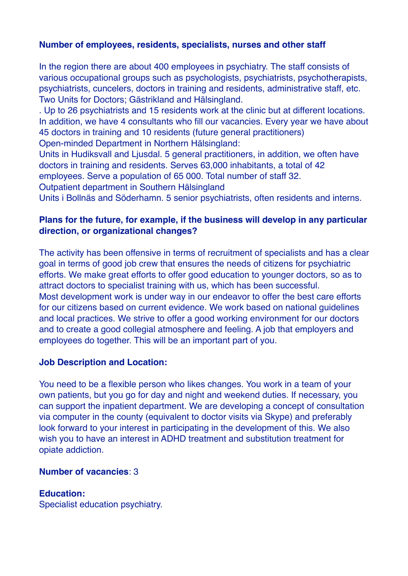## **Number of employees, residents, specialists, nurses and other staff**

In the region there are about 400 employees in psychiatry. The staff consists of various occupational groups such as psychologists, psychiatrists, psychotherapists, psychiatrists, cuncelers, doctors in training and residents, administrative staff, etc. Two Units for Doctors; Gästrikland and Hälsingland.

. Up to 26 psychiatrists and 15 residents work at the clinic but at different locations. In addition, we have 4 consultants who fill our vacancies. Every year we have about 45 doctors in training and 10 residents (future general practitioners) Open-minded Department in Northern Hälsingland:

Units in Hudiksvall and Ljusdal. 5 general practitioners, in addition, we often have doctors in training and residents. Serves 63,000 inhabitants, a total of 42 employees. Serve a population of 65 000. Total number of staff 32.

Outpatient department in Southern Hälsingland

Units i Bollnäs and Söderhamn. 5 senior psychiatrists, often residents and interns.

### **Plans for the future, for example, if the business will develop in any particular direction, or organizational changes?**

The activity has been offensive in terms of recruitment of specialists and has a clear goal in terms of good job crew that ensures the needs of citizens for psychiatric efforts. We make great efforts to offer good education to younger doctors, so as to attract doctors to specialist training with us, which has been successful. Most development work is under way in our endeavor to offer the best care efforts for our citizens based on current evidence. We work based on national guidelines and local practices. We strive to offer a good working environment for our doctors and to create a good collegial atmosphere and feeling. A job that employers and employees do together. This will be an important part of you.

#### **Job Description and Location:**

You need to be a flexible person who likes changes. You work in a team of your own patients, but you go for day and night and weekend duties. If necessary, you can support the inpatient department. We are developing a concept of consultation via computer in the county (equivalent to doctor visits via Skype) and preferably look forward to your interest in participating in the development of this. We also wish you to have an interest in ADHD treatment and substitution treatment for opiate addiction.

### **Number of vacancies**: 3

#### **Education:**

Specialist education psychiatry.